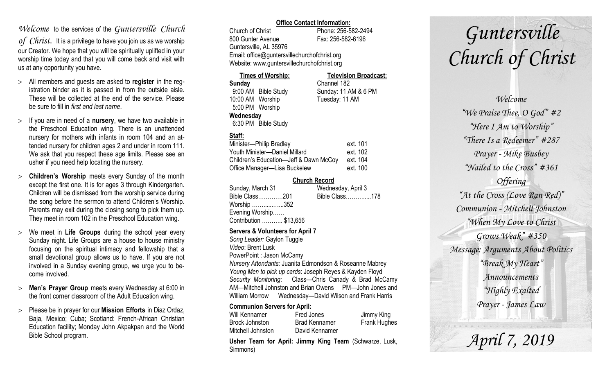# *Welcome* to the services of the *Guntersville Church*

*of Christ*. It is a privilege to have you join us as we worship our Creator. We hope that you will be spiritually uplifted in your worship time today and that you will come back and visit with us at any opportunity you have.

- All members and guests are asked to **register** in the registration binder as it is passed in from the outside aisle. These will be collected at the end of the service. Please be sure to fill in *first and last name*.
- $>$  If you are in need of a **nursery**, we have two available in the Preschool Education wing. There is an unattended nursery for mothers with infants in room 104 and an attended nursery for children ages 2 and under in room 111. We ask that you respect these age limits. Please see an usher if you need help locating the nursery.
- **Children's Worship** meets every Sunday of the month except the first one. It is for ages 3 through Kindergarten. Children will be dismissed from the worship service during the song before the sermon to attend Children's Worship. Parents may exit during the closing song to pick them up. They meet in room 102 in the Preschool Education wing.
- We meet in **Life Groups** during the school year every Sunday night. Life Groups are a house to house ministry focusing on the spiritual intimacy and fellowship that a small devotional group allows us to have. If you are not involved in a Sunday evening group, we urge you to become involved.
- **Men's Prayer Group** meets every Wednesday at 6:00 in the front corner classroom of the Adult Education wing.
- Please be in prayer for our **Mission Efforts** in Diaz Ordaz, Baja, Mexico; Cuba; Scotland: French-African Christian Education facility; Monday John Akpakpan and the World Bible School program.

### **Office Contact Information:**

Church of Christ Phone: 256-582-2494 800 Gunter Avenue Fax: 256-582-6196 Guntersville, AL 35976 Email: office@guntersvillechurchofchrist.org Website: www.guntersvillechurchofchrist.org

| <b>Times of Worship:</b> |                     | <b>Television Broadcast:</b> |  |
|--------------------------|---------------------|------------------------------|--|
| Sunday                   |                     | Channel 182                  |  |
|                          | 9:00 AM Bible Study | Sunday: 11 AM & 6 PM         |  |
| 10:00 AM Worship         |                     | Tuesday: 11 AM               |  |
| 5:00 PM Worship          |                     |                              |  |
| Wednesday                |                     |                              |  |
|                          | 6:30 PM Bible Study |                              |  |

# **Staff:**

| Minister-Philip Bradley                | ext. 101 |
|----------------------------------------|----------|
| Youth Minister-Daniel Millard          | ext. 102 |
| Children's Education-Jeff & Dawn McCoy | ext. 104 |
| Office Manager-Lisa Buckelew           | ext. 100 |

### **Church Record**

| Wednesday, April 3 |  |
|--------------------|--|
| Bible Class178     |  |
|                    |  |
|                    |  |
|                    |  |
|                    |  |

#### **Servers & Volunteers for April 7**

*Song Leader:* Gaylon Tuggle *Video*: Brent Lusk PowerPoint : Jason McCamy *Nursery Attendants:* Juanita Edmondson & Roseanne Mabrey *Young Men to pick up cards*: Joseph Reyes & Kayden Floyd *Security Monitoring*: Class—Chris Canady & Brad McCamy AM—Mitchell Johnston and Brian Owens PM—John Jones and William Morrow Wednesday—David Wilson and Frank Harris

### **Communion Servers for April:**

| Will Kennamer     | Fred Jones           | Jimmy King          |
|-------------------|----------------------|---------------------|
| Brock Johnston    | <b>Brad Kennamer</b> | <b>Frank Hughes</b> |
| Mitchell Johnston | David Kennamer       |                     |

**Usher Team for April: Jimmy King Team** (Schwarze, Lusk, Simmons)

# *Guntersville Church of Christ*

*Welcome "We Praise Thee, O God" #2 "Here I Am to Worship" "There Is a Redeemer" #287 Prayer - Mike Busbey "Nailed to the Cross" #361 Offering "At the Cross (Love Ran Red)" Communion - Mitchell Johnston "When My Love to Christ Grows Weak" #350 Message: Arguments About Politics "Break My Heart" Announcements "Highly Exalted Prayer - James Law*